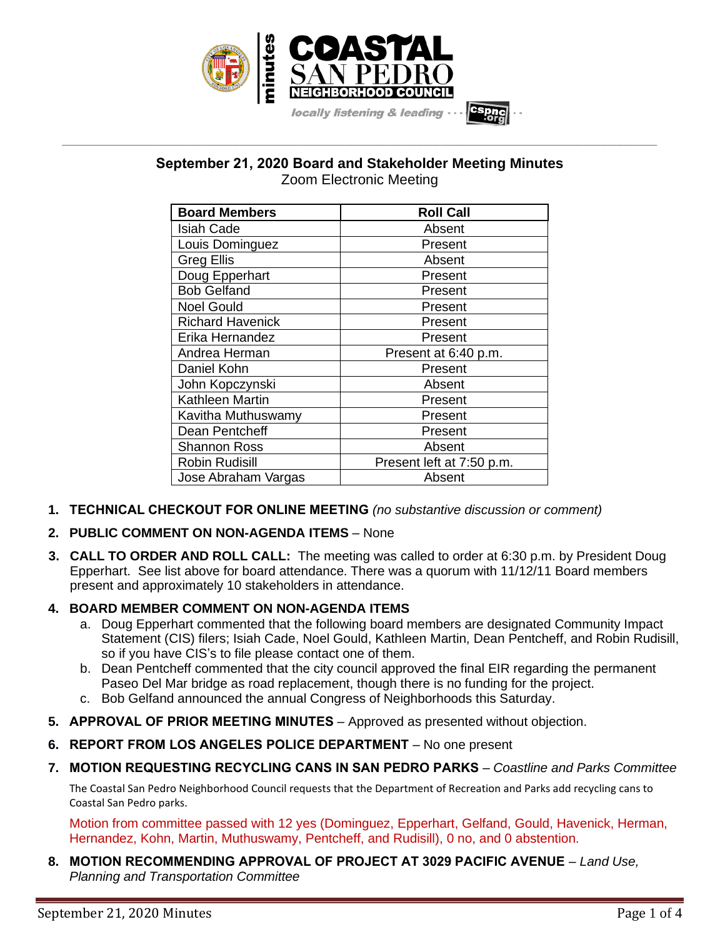

# **September 21, 2020 Board and Stakeholder Meeting Minutes** Zoom Electronic Meeting

**\_\_\_\_\_\_\_\_\_\_\_\_\_\_\_\_\_\_\_\_\_\_\_\_\_\_\_\_\_\_\_\_\_\_\_\_\_\_\_\_\_\_\_\_\_\_\_\_\_\_\_\_\_\_\_\_\_\_\_\_\_\_\_\_\_\_\_\_\_\_\_\_\_\_\_\_\_\_\_\_\_\_\_\_\_\_\_\_\_\_\_\_\_\_\_\_\_\_\_\_\_\_\_\_\_\_\_\_\_\_\_\_\_**

| <b>Board Members</b>    | <b>Roll Call</b>          |
|-------------------------|---------------------------|
| <b>Isiah Cade</b>       | Absent                    |
| Louis Dominguez         | Present                   |
| Greg Ellis              | Absent                    |
| Doug Epperhart          | Present                   |
| <b>Bob Gelfand</b>      | Present                   |
| <b>Noel Gould</b>       | Present                   |
| <b>Richard Havenick</b> | Present                   |
| Erika Hernandez         | Present                   |
| Andrea Herman           | Present at 6:40 p.m.      |
| Daniel Kohn             | Present                   |
| John Kopczynski         | Absent                    |
| Kathleen Martin         | Present                   |
| Kavitha Muthuswamy      | Present                   |
| Dean Pentcheff          | Present                   |
| Shannon Ross            | Absent                    |
| Robin Rudisill          | Present left at 7:50 p.m. |
| Jose Abraham Vargas     | Absent                    |

- **1. TECHNICAL CHECKOUT FOR ONLINE MEETING** *(no substantive discussion or comment)*
- **2. PUBLIC COMMENT ON NON-AGENDA ITEMS** None
- **3. CALL TO ORDER AND ROLL CALL:** The meeting was called to order at 6:30 p.m. by President Doug Epperhart. See list above for board attendance. There was a quorum with 11/12/11 Board members present and approximately 10 stakeholders in attendance.
- **4. BOARD MEMBER COMMENT ON NON-AGENDA ITEMS**
	- a. Doug Epperhart commented that the following board members are designated Community Impact Statement (CIS) filers; Isiah Cade, Noel Gould, Kathleen Martin, Dean Pentcheff, and Robin Rudisill, so if you have CIS's to file please contact one of them.
	- b. Dean Pentcheff commented that the city council approved the final EIR regarding the permanent Paseo Del Mar bridge as road replacement, though there is no funding for the project.
	- c. Bob Gelfand announced the annual Congress of Neighborhoods this Saturday.
- **5. APPROVAL OF PRIOR MEETING MINUTES** Approved as presented without objection.
- **6. REPORT FROM LOS ANGELES POLICE DEPARTMENT** No one present
- **7. MOTION REQUESTING RECYCLING CANS IN SAN PEDRO PARKS** *Coastline and Parks Committee*

The Coastal San Pedro Neighborhood Council requests that the Department of Recreation and Parks add recycling cans to Coastal San Pedro parks.

Motion from committee passed with 12 yes (Dominguez, Epperhart, Gelfand, Gould, Havenick, Herman, Hernandez, Kohn, Martin, Muthuswamy, Pentcheff, and Rudisill), 0 no, and 0 abstention.

**8. MOTION RECOMMENDING APPROVAL OF PROJECT AT 3029 PACIFIC AVENUE** – *Land Use, Planning and Transportation Committee*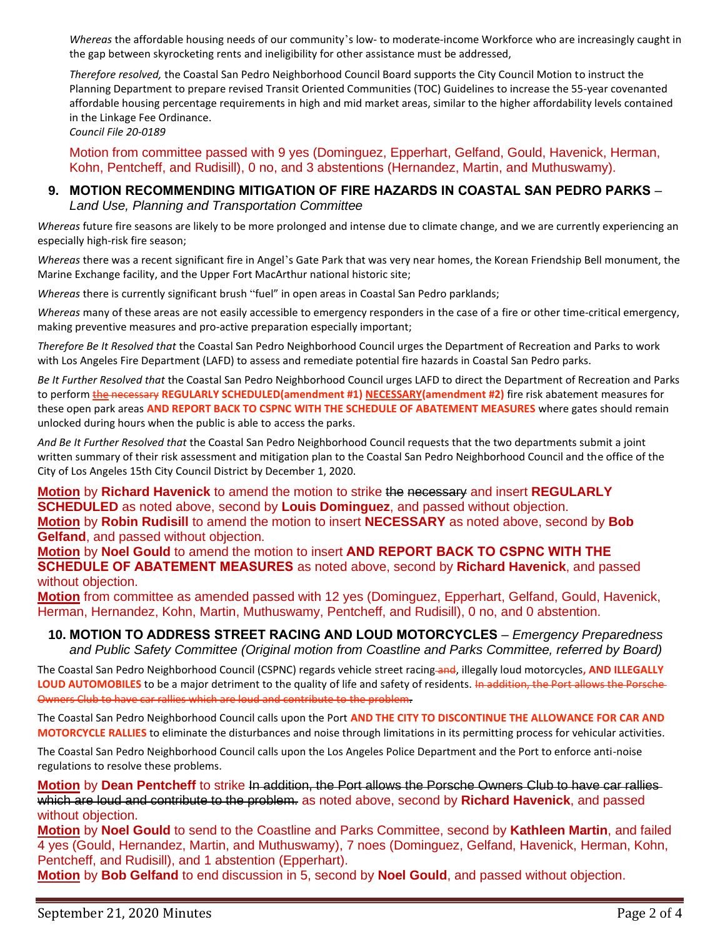*Whereas* the affordable housing needs of our community's low- to moderate-income Workforce who are increasingly caught in the gap between skyrocketing rents and ineligibility for other assistance must be addressed,

*Therefore resolved,* the Coastal San Pedro Neighborhood Council Board supports the City Council Motion to instruct the Planning Department to prepare revised Transit Oriented Communities (TOC) Guidelines to increase the 55-year covenanted affordable housing percentage requirements in high and mid market areas, similar to the higher affordability levels contained in the Linkage Fee Ordinance.

*Council File 20-0189*

Motion from committee passed with 9 yes (Dominguez, Epperhart, Gelfand, Gould, Havenick, Herman, Kohn, Pentcheff, and Rudisill), 0 no, and 3 abstentions (Hernandez, Martin, and Muthuswamy).

#### **9. MOTION RECOMMENDING MITIGATION OF FIRE HAZARDS IN COASTAL SAN PEDRO PARKS** – *Land Use, Planning and Transportation Committee*

*Whereas* future fire seasons are likely to be more prolonged and intense due to climate change, and we are currently experiencing an especially high-risk fire season;

*Whereas* there was a recent significant fire in Angel's Gate Park that was very near homes, the Korean Friendship Bell monument, the Marine Exchange facility, and the Upper Fort MacArthur national historic site;

*Whereas* there is currently significant brush "fuel" in open areas in Coastal San Pedro parklands;

*Whereas* many of these areas are not easily accessible to emergency responders in the case of a fire or other time-critical emergency, making preventive measures and pro-active preparation especially important;

*Therefore Be It Resolved that* the Coastal San Pedro Neighborhood Council urges the Department of Recreation and Parks to work with Los Angeles Fire Department (LAFD) to assess and remediate potential fire hazards in Coastal San Pedro parks.

*Be It Further Resolved that* the Coastal San Pedro Neighborhood Council urges LAFD to direct the Department of Recreation and Parks to perform **the necessary REGULARLY SCHEDULED(amendment #1) NECESSARY(amendment #2)** fire risk abatement measures for these open park areas **AND REPORT BACK TO CSPNC WITH THE SCHEDULE OF ABATEMENT MEASURES** where gates should remain unlocked during hours when the public is able to access the parks.

*And Be It Further Resolved that* the Coastal San Pedro Neighborhood Council requests that the two departments submit a joint written summary of their risk assessment and mitigation plan to the Coastal San Pedro Neighborhood Council and the office of the City of Los Angeles 15th City Council District by December 1, 2020.

**Motion** by **Richard Havenick** to amend the motion to strike the necessary and insert **REGULARLY SCHEDULED** as noted above, second by **Louis Dominguez**, and passed without objection. **Motion** by **Robin Rudisill** to amend the motion to insert **NECESSARY** as noted above, second by **Bob Gelfand**, and passed without objection.

**Motion** by **Noel Gould** to amend the motion to insert **AND REPORT BACK TO CSPNC WITH THE SCHEDULE OF ABATEMENT MEASURES** as noted above, second by **Richard Havenick**, and passed without objection.

**Motion** from committee as amended passed with 12 yes (Dominguez, Epperhart, Gelfand, Gould, Havenick, Herman, Hernandez, Kohn, Martin, Muthuswamy, Pentcheff, and Rudisill), 0 no, and 0 abstention.

**10. MOTION TO ADDRESS STREET RACING AND LOUD MOTORCYCLES** – *Emergency Preparedness and Public Safety Committee (Original motion from Coastline and Parks Committee, referred by Board)*

The Coastal San Pedro Neighborhood Council (CSPNC) regards vehicle street racing and, illegally loud motorcycles**, AND ILLEGALLY**  LOUD AUTOMOBILES to be a major detriment to the quality of life and safety of residents. In addition, the Port allows the Porsche-Owners Club to have car rallies which are loud and contribute to the problem.

The Coastal San Pedro Neighborhood Council calls upon the Port **AND THE CITY TO DISCONTINUE THE ALLOWANCE FOR CAR AND MOTORCYCLE RALLIES** to eliminate the disturbances and noise through limitations in its permitting process for vehicular activities.

The Coastal San Pedro Neighborhood Council calls upon the Los Angeles Police Department and the Port to enforce anti-noise regulations to resolve these problems.

**Motion** by **Dean Pentcheff** to strike In addition, the Port allows the Porsche Owners Club to have car rallies which are loud and contribute to the problem. as noted above, second by **Richard Havenick**, and passed without objection.

**Motion** by **Noel Gould** to send to the Coastline and Parks Committee, second by **Kathleen Martin**, and failed 4 yes (Gould, Hernandez, Martin, and Muthuswamy), 7 noes (Dominguez, Gelfand, Havenick, Herman, Kohn, Pentcheff, and Rudisill), and 1 abstention (Epperhart).

**Motion** by **Bob Gelfand** to end discussion in 5, second by **Noel Gould**, and passed without objection.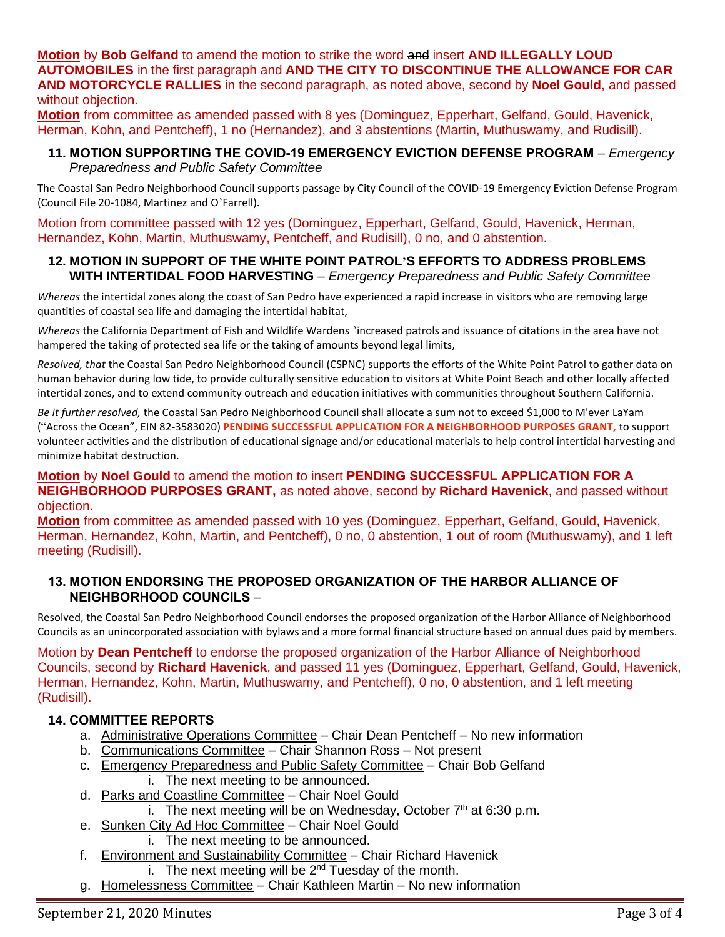**Motion** by **Bob Gelfand** to amend the motion to strike the word and insert **AND ILLEGALLY LOUD AUTOMOBILES** in the first paragraph and **AND THE CITY TO DISCONTINUE THE ALLOWANCE FOR CAR AND MOTORCYCLE RALLIES** in the second paragraph, as noted above, second by **Noel Gould**, and passed without objection.

**Motion** from committee as amended passed with 8 yes (Dominguez, Epperhart, Gelfand, Gould, Havenick, Herman, Kohn, and Pentcheff), 1 no (Hernandez), and 3 abstentions (Martin, Muthuswamy, and Rudisill).

### **11. MOTION SUPPORTING THE COVID-19 EMERGENCY EVICTION DEFENSE PROGRAM** – *Emergency Preparedness and Public Safety Committee*

The Coastal San Pedro Neighborhood Council supports passage by City Council of the COVID-19 Emergency Eviction Defense Program (Council File 20-1084, Martinez and O'Farrell).

Motion from committee passed with 12 yes (Dominguez, Epperhart, Gelfand, Gould, Havenick, Herman, Hernandez, Kohn, Martin, Muthuswamy, Pentcheff, and Rudisill), 0 no, and 0 abstention.

#### **12. MOTION IN SUPPORT OF THE WHITE POINT PATROL'S EFFORTS TO ADDRESS PROBLEMS WITH INTERTIDAL FOOD HARVESTING** – *Emergency Preparedness and Public Safety Committee*

*Whereas* the intertidal zones along the coast of San Pedro have experienced a rapid increase in visitors who are removing large quantities of coastal sea life and damaging the intertidal habitat,

*Whereas* the California Department of Fish and Wildlife Wardens 'increased patrols and issuance of citations in the area have not hampered the taking of protected sea life or the taking of amounts beyond legal limits,

*Resolved, that* the Coastal San Pedro Neighborhood Council (CSPNC) supports the efforts of the White Point Patrol to gather data on human behavior during low tide, to provide culturally sensitive education to visitors at White Point Beach and other locally affected intertidal zones, and to extend community outreach and education initiatives with communities throughout Southern California.

*Be it further resolved,* the Coastal San Pedro Neighborhood Council shall allocate a sum not to exceed \$1,000 to M'ever LaYam ("Across the Ocean", EIN 82-3583020) **PENDING SUCCESSFUL APPLICATION FOR A NEIGHBORHOOD PURPOSES GRANT,** to support volunteer activities and the distribution of educational signage and/or educational materials to help control intertidal harvesting and minimize habitat destruction.

#### **Motion** by **Noel Gould** to amend the motion to insert **PENDING SUCCESSFUL APPLICATION FOR A NEIGHBORHOOD PURPOSES GRANT,** as noted above, second by **Richard Havenick**, and passed without objection.

**Motion** from committee as amended passed with 10 yes (Dominguez, Epperhart, Gelfand, Gould, Havenick, Herman, Hernandez, Kohn, Martin, and Pentcheff), 0 no, 0 abstention, 1 out of room (Muthuswamy), and 1 left meeting (Rudisill).

## **13. MOTION ENDORSING THE PROPOSED ORGANIZATION OF THE HARBOR ALLIANCE OF NEIGHBORHOOD COUNCILS** –

Resolved, the Coastal San Pedro Neighborhood Council endorses the proposed organization of the Harbor Alliance of Neighborhood Councils as an unincorporated association with bylaws and a more formal financial structure based on annual dues paid by members.

Motion by **Dean Pentcheff** to endorse the proposed organization of the Harbor Alliance of Neighborhood Councils, second by **Richard Havenick**, and passed 11 yes (Dominguez, Epperhart, Gelfand, Gould, Havenick, Herman, Hernandez, Kohn, Martin, Muthuswamy, and Pentcheff), 0 no, 0 abstention, and 1 left meeting (Rudisill).

# **14. COMMITTEE REPORTS**

- a. Administrative Operations Committee Chair Dean Pentcheff No new information
- b. Communications Committee Chair Shannon Ross Not present
- c. Emergency Preparedness and Public Safety Committee Chair Bob Gelfand i. The next meeting to be announced.
- d. Parks and Coastline Committee Chair Noel Gould
	- i. The next meeting will be on Wednesday, October  $7<sup>th</sup>$  at 6:30 p.m.
- e. Sunken City Ad Hoc Committee Chair Noel Gould
	- i. The next meeting to be announced.
- f. Environment and Sustainability Committee Chair Richard Havenick
	- i. The next meeting will be  $2<sup>nd</sup>$  Tuesday of the month.
- g. Homelessness Committee Chair Kathleen Martin No new information